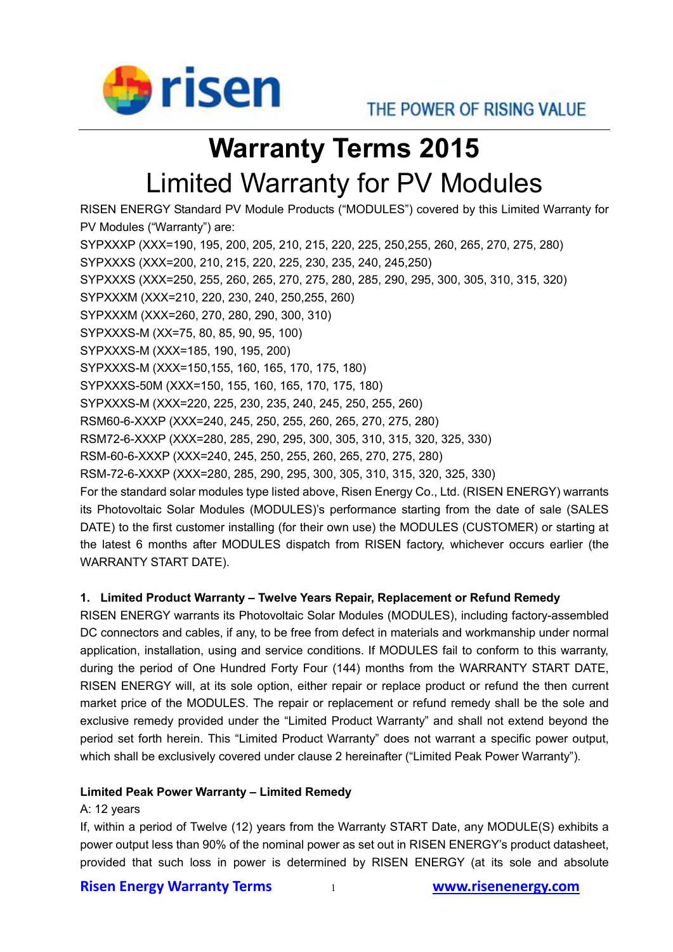

# **Warranty Terms 2015** Limited Warranty for PV Modules

RISEN ENERGY Standard PV Module Products ("MODULES") covered by this Limited Warranty for PV Modules ("Warranty") are: SYPXXXP (XXX=190, 195, 200, 205, 210, 215, 220, 225, 250,255, 260, 265, 270, 275, 280) SYPXXXS (XXX=200, 210, 215, 220, 225, 230, 235, 240, 245,250) SYPXXXS (XXX=250, 255, 260, 265, 270, 275, 280, 285, 290, 295, 300, 305, 310, 315, 320) SYPXXXM (XXX=210, 220, 230, 240, 250,255, 260) SYPXXXM (XXX=260, 270, 280, 290, 300, 310) SYPXXXS-M (XX=75, 80, 85, 90, 95, 100) SYPXXXS-M (XXX=185, 190, 195, 200) SYPXXXS-M (XXX=150,155, 160, 165, 170, 175, 180) SYPXXXS-50M (XXX=150, 155, 160, 165, 170, 175, 180) SYPXXXS-M (XXX=220, 225, 230, 235, 240, 245, 250, 255, 260) RSM60-6-XXXP (XXX=240, 245, 250, 255, 260, 265, 270, 275, 280) RSM72-6-XXXP (XXX=280, 285, 290, 295, 300, 305, 310, 315, 320, 325, 330) RSM-60-6-XXXP (XXX=240, 245, 250, 255, 260, 265, 270, 275, 280) RSM-72-6-XXXP (XXX=280, 285, 290, 295, 300, 305, 310, 315, 320, 325, 330) For the standard solar modules type listed above, Risen Energy Co., Ltd. (RISEN ENERGY) warrants its Photovoltaic Solar Modules (MODULES)'s performance starting from the date of sale (SALES DATE) to the first customer installing (for their own use) the MODULES (CUSTOMER) or starting at the latest 6 months after MODULES dispatch from RISEN factory, whichever occurs earlier (the WARRANTY START DATE).

## **1. Limited Product Warranty – Twelve Years Repair, Replacement or Refund Remedy**

RISEN ENERGY warrants its Photovoltaic Solar Modules (MODULES), including factory-assembled DC connectors and cables, if any, to be free from defect in materials and workmanship under normal application, installation, using and service conditions. If MODULES fail to conform to this warranty, during the period of One Hundred Forty Four (144) months from the WARRANTY START DATE, RISEN ENERGY will, at its sole option, either repair or replace product or refund the then current market price of the MODULES. The repair or replacement or refund remedy shall be the sole and exclusive remedy provided under the "Limited Product Warranty" and shall not extend beyond the period set forth herein. This "Limited Product Warranty" does not warrant a specific power output, which shall be exclusively covered under clause 2 hereinafter ("Limited Peak Power Warranty").

#### **Limited Peak Power Warranty – Limited Remedy**

#### A: 12 years

If, within a period of Twelve (12) years from the Warranty START Date, any MODULE(S) exhibits a power output less than 90% of the nominal power as set out in RISEN ENERGY's product datasheet, provided that such loss in power is determined by RISEN ENERGY (at its sole and absolute

## **Risen Energy Warranty Terms** 1 **www.risenenergy.com**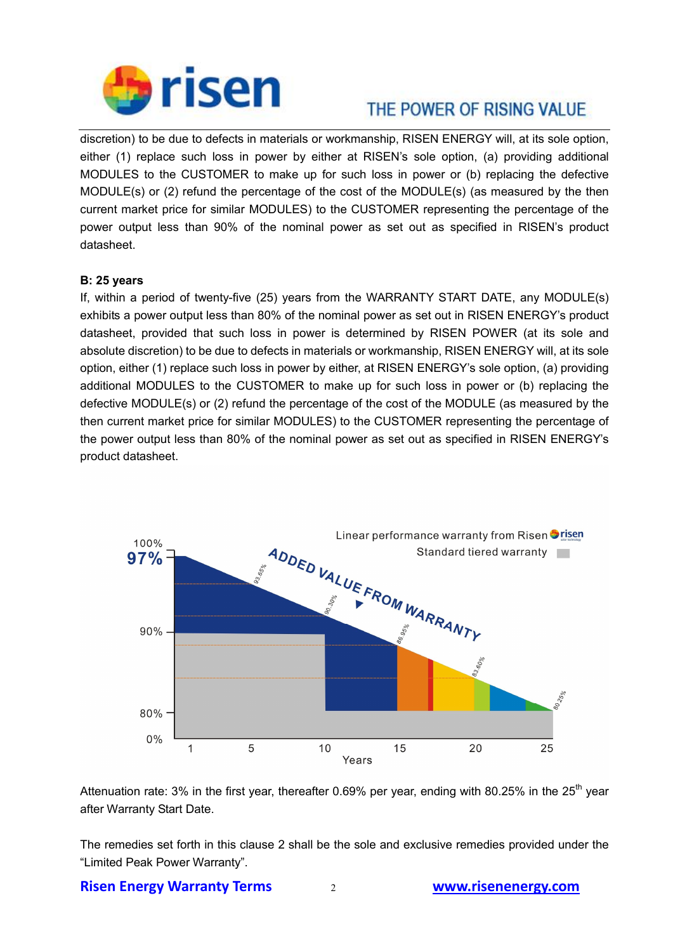

# THE POWER OF RISING VALUE.

discretion) to be due to defects in materials or workmanship, RISEN ENERGY will, at its sole option, either (1) replace such loss in power by either at RISEN's sole option, (a) providing additional MODULES to the CUSTOMER to make up for such loss in power or (b) replacing the defective MODULE(s) or (2) refund the percentage of the cost of the MODULE(s) (as measured by the then current market price for similar MODULES) to the CUSTOMER representing the percentage of the power output less than 90% of the nominal power as set out as specified in RISEN's product datasheet.

#### **B: 25 years**

If, within a period of twenty-five (25) years from the WARRANTY START DATE, any MODULE(s) exhibits a power output less than 80% of the nominal power as set out in RISEN ENERGY's product datasheet, provided that such loss in power is determined by RISEN POWER (at its sole and absolute discretion) to be due to defects in materials or workmanship, RISEN ENERGY will, at its sole option, either (1) replace such loss in power by either, at RISEN ENERGY's sole option, (a) providing additional MODULES to the CUSTOMER to make up for such loss in power or (b) replacing the defective MODULE(s) or (2) refund the percentage of the cost of the MODULE (as measured by the then current market price for similar MODULES) to the CUSTOMER representing the percentage of the power output less than 80% of the nominal power as set out as specified in RISEN ENERGY's product datasheet.



Attenuation rate: 3% in the first year, thereafter 0.69% per year, ending with 80.25% in the 25<sup>th</sup> vear after Warranty Start Date.

The remedies set forth in this clause 2 shall be the sole and exclusive remedies provided under the "Limited Peak Power Warranty".

**Risen Energy Warranty Terms** 2 **www.risenenergy.com**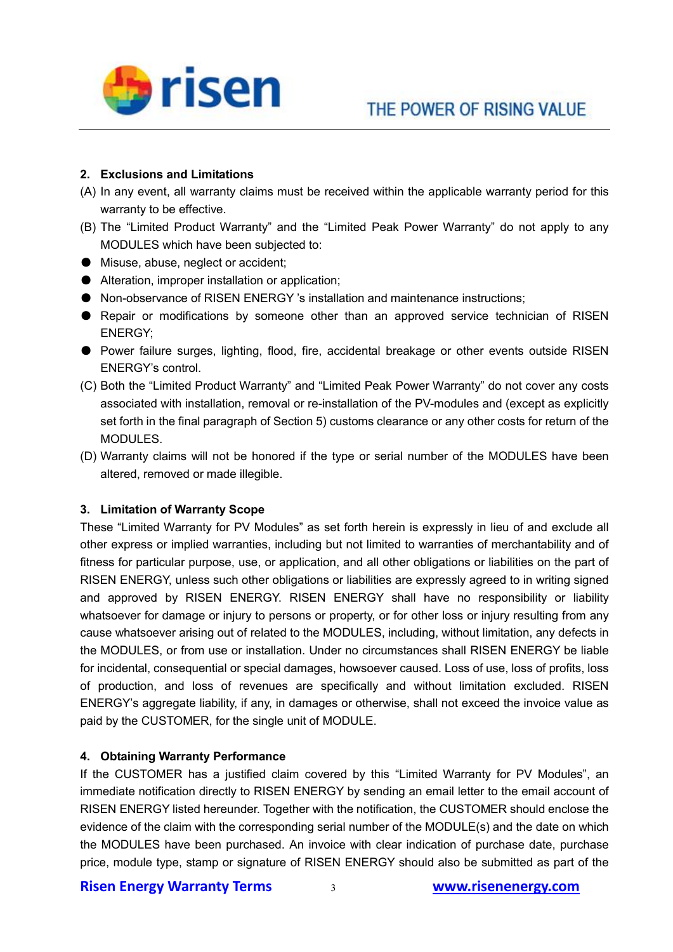

#### **2. Exclusions and Limitations**

- (A) In any event, all warranty claims must be received within the applicable warranty period for this warranty to be effective.
- (B) The "Limited Product Warranty" and the "Limited Peak Power Warranty" do not apply to any MODULES which have been subjected to:
- Misuse, abuse, neglect or accident;
- Alteration, improper installation or application;
- Non-observance of RISEN ENERGY 's installation and maintenance instructions;
- Repair or modifications by someone other than an approved service technician of RISEN ENERGY;
- Power failure surges, lighting, flood, fire, accidental breakage or other events outside RISEN ENERGY's control.
- (C) Both the "Limited Product Warranty" and "Limited Peak Power Warranty" do not cover any costs associated with installation, removal or re-installation of the PV-modules and (except as explicitly set forth in the final paragraph of Section 5) customs clearance or any other costs for return of the MODULES.
- (D) Warranty claims will not be honored if the type or serial number of the MODULES have been altered, removed or made illegible.

#### **3. Limitation of Warranty Scope**

These "Limited Warranty for PV Modules" as set forth herein is expressly in lieu of and exclude all other express or implied warranties, including but not limited to warranties of merchantability and of fitness for particular purpose, use, or application, and all other obligations or liabilities on the part of RISEN ENERGY, unless such other obligations or liabilities are expressly agreed to in writing signed and approved by RISEN ENERGY. RISEN ENERGY shall have no responsibility or liability whatsoever for damage or injury to persons or property, or for other loss or injury resulting from any cause whatsoever arising out of related to the MODULES, including, without limitation, any defects in the MODULES, or from use or installation. Under no circumstances shall RISEN ENERGY be liable for incidental, consequential or special damages, howsoever caused. Loss of use, loss of profits, loss of production, and loss of revenues are specifically and without limitation excluded. RISEN ENERGY's aggregate liability, if any, in damages or otherwise, shall not exceed the invoice value as paid by the CUSTOMER, for the single unit of MODULE.

#### **4. Obtaining Warranty Performance**

If the CUSTOMER has a justified claim covered by this "Limited Warranty for PV Modules", an immediate notification directly to RISEN ENERGY by sending an email letter to the email account of RISEN ENERGY listed hereunder. Together with the notification, the CUSTOMER should enclose the evidence of the claim with the corresponding serial number of the MODULE(s) and the date on which the MODULES have been purchased. An invoice with clear indication of purchase date, purchase price, module type, stamp or signature of RISEN ENERGY should also be submitted as part of the

#### **Risen Energy Warranty Terms** 3 **www.risenenergy.com**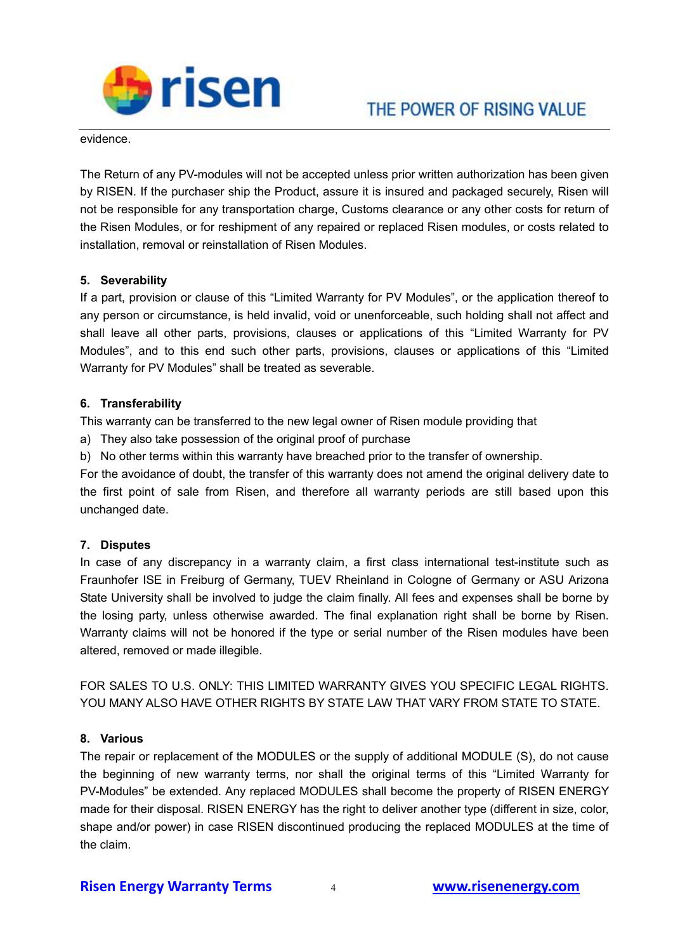

evidence.

The Return of any PV-modules will not be accepted unless prior written authorization has been given by RISEN. If the purchaser ship the Product, assure it is insured and packaged securely, Risen will not be responsible for any transportation charge, Customs clearance or any other costs for return of the Risen Modules, or for reshipment of any repaired or replaced Risen modules, or costs related to installation, removal or reinstallation of Risen Modules.

#### **5. Severability**

If a part, provision or clause of this "Limited Warranty for PV Modules", or the application thereof to any person or circumstance, is held invalid, void or unenforceable, such holding shall not affect and shall leave all other parts, provisions, clauses or applications of this "Limited Warranty for PV Modules", and to this end such other parts, provisions, clauses or applications of this "Limited Warranty for PV Modules" shall be treated as severable.

#### **6. Transferability**

This warranty can be transferred to the new legal owner of Risen module providing that

a) They also take possession of the original proof of purchase

b) No other terms within this warranty have breached prior to the transfer of ownership.

For the avoidance of doubt, the transfer of this warranty does not amend the original delivery date to the first point of sale from Risen, and therefore all warranty periods are still based upon this unchanged date.

#### **7. Disputes**

In case of any discrepancy in a warranty claim, a first class international test-institute such as Fraunhofer ISE in Freiburg of Germany, TUEV Rheinland in Cologne of Germany or ASU Arizona State University shall be involved to judge the claim finally. All fees and expenses shall be borne by the losing party, unless otherwise awarded. The final explanation right shall be borne by Risen. Warranty claims will not be honored if the type or serial number of the Risen modules have been altered, removed or made illegible.

FOR SALES TO U.S. ONLY: THIS LIMITED WARRANTY GIVES YOU SPECIFIC LEGAL RIGHTS. YOU MANY ALSO HAVE OTHER RIGHTS BY STATE LAW THAT VARY FROM STATE TO STATE.

#### **8. Various**

The repair or replacement of the MODULES or the supply of additional MODULE (S), do not cause the beginning of new warranty terms, nor shall the original terms of this "Limited Warranty for PV-Modules" be extended. Any replaced MODULES shall become the property of RISEN ENERGY made for their disposal. RISEN ENERGY has the right to deliver another type (different in size, color, shape and/or power) in case RISEN discontinued producing the replaced MODULES at the time of the claim.